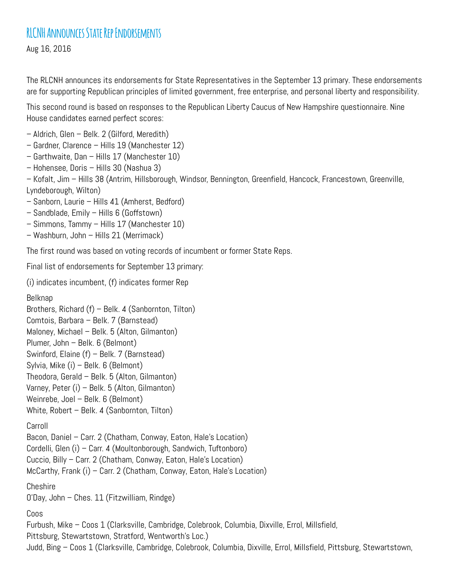Aug 16, 2016

The RLCNH announces its endorsements for State Representatives in the September 13 primary. These endorsements are for supporting Republican principles of limited government, free enterprise, and personal liberty and responsibility.

This second round is based on responses to the Republican Liberty Caucus of New Hampshire questionnaire. Nine House candidates earned perfect scores:

- Aldrich, Glen Belk. 2 (Gilford, Meredith)
- Gardner, Clarence Hills 19 (Manchester 12)
- Garthwaite, Dan Hills 17 (Manchester 10)
- Hohensee, Doris Hills 30 (Nashua 3)

– Kofalt, Jim – Hills 38 (Antrim, Hillsborough, Windsor, Bennington, Greenfield, Hancock, Francestown, Greenville, Lyndeborough, Wilton)

- Sanborn, Laurie Hills 41 (Amherst, Bedford)
- Sandblade, Emily Hills 6 (Goffstown)
- Simmons, Tammy Hills 17 (Manchester 10)
- Washburn, John Hills 21 (Merrimack)

The first round was based on voting records of incumbent or former State Reps.

Final list of endorsements for September 13 primary:

(i) indicates incumbent, (f) indicates former Rep

Belknap

```
Brothers, Richard (f) – Belk. 4 (Sanbornton, Tilton)
```
- Comtois, Barbara Belk. 7 (Barnstead)
- Maloney, Michael Belk. 5 (Alton, Gilmanton)
- Plumer, John Belk. 6 (Belmont)
- Swinford, Elaine (f) Belk. 7 (Barnstead)
- Sylvia, Mike (i) Belk. 6 (Belmont)
- Theodora, Gerald Belk. 5 (Alton, Gilmanton)
- Varney, Peter (i) Belk. 5 (Alton, Gilmanton)
- Weinrebe, Joel Belk. 6 (Belmont)
- White, Robert Belk. 4 (Sanbornton, Tilton)

## Carroll

Bacon, Daniel – Carr. 2 (Chatham, Conway, Eaton, Hale's Location)

- Cordelli, Glen (i) Carr. 4 (Moultonborough, Sandwich, Tuftonboro)
- Cuccio, Billy Carr. 2 (Chatham, Conway, Eaton, Hale's Location)
- McCarthy, Frank (i) Carr. 2 (Chatham, Conway, Eaton, Hale's Location)

Cheshire

O'Day, John – Ches. 11 (Fitzwilliam, Rindge)

Coos

Furbush, Mike – Coos 1 (Clarksville, Cambridge, Colebrook, Columbia, Dixville, Errol, Millsfield, Pittsburg, Stewartstown, Stratford, Wentworth's Loc.) Judd, Bing – Coos 1 (Clarksville, Cambridge, Colebrook, Columbia, Dixville, Errol, Millsfield, Pittsburg, Stewartstown,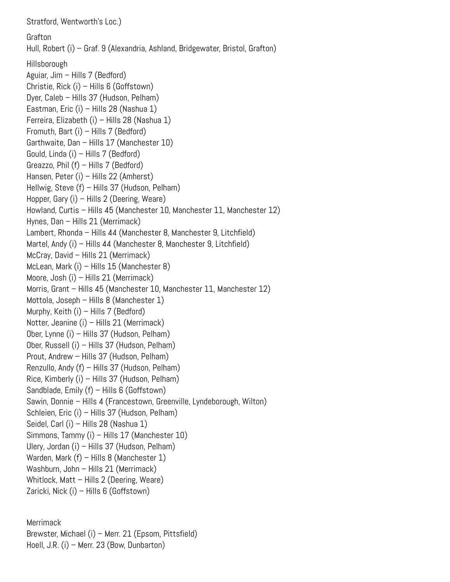Stratford, Wentworth's Loc.) Grafton Hull, Robert (i) – Graf. 9 (Alexandria, Ashland, Bridgewater, Bristol, Grafton) Hillsborough Aguiar, Jim – Hills 7 (Bedford) Christie, Rick (i) – Hills 6 (Goffstown) Dyer, Caleb – Hills 37 (Hudson, Pelham) Eastman, Eric (i) – Hills 28 (Nashua 1) Ferreira, Elizabeth (i) – Hills 28 (Nashua 1) Fromuth, Bart (i) – Hills 7 (Bedford) Garthwaite, Dan – Hills 17 (Manchester 10) Gould, Linda (i) – Hills 7 (Bedford) Greazzo, Phil (f) – Hills 7 (Bedford) Hansen, Peter (i) – Hills 22 (Amherst) Hellwig, Steve (f) – Hills 37 (Hudson, Pelham) Hopper, Gary (i) – Hills 2 (Deering, Weare) Howland, Curtis – Hills 45 (Manchester 10, Manchester 11, Manchester 12) Hynes, Dan – Hills 21 (Merrimack) Lambert, Rhonda – Hills 44 (Manchester 8, Manchester 9, Litchfield) Martel, Andy (i) – Hills 44 (Manchester 8, Manchester 9, Litchfield) McCray, David – Hills 21 (Merrimack) McLean, Mark (i) – Hills 15 (Manchester 8) Moore, Josh (i) – Hills 21 (Merrimack) Morris, Grant – Hills 45 (Manchester 10, Manchester 11, Manchester 12) Mottola, Joseph – Hills 8 (Manchester 1) Murphy, Keith (i) – Hills 7 (Bedford) Notter, Jeanine (i) – Hills 21 (Merrimack) Ober, Lynne (i) – Hills 37 (Hudson, Pelham) Ober, Russell (i) – Hills 37 (Hudson, Pelham) Prout, Andrew – Hills 37 (Hudson, Pelham) Renzullo, Andy (f) – Hills 37 (Hudson, Pelham) Rice, Kimberly (i) – Hills 37 (Hudson, Pelham) Sandblade, Emily (f) – Hills 6 (Goffstown) Sawin, Donnie – Hills 4 (Francestown, Greenville, Lyndeborough, Wilton) Schleien, Eric (i) – Hills 37 (Hudson, Pelham) Seidel, Carl (i) – Hills 28 (Nashua 1) Simmons, Tammy (i) – Hills 17 (Manchester 10) Ulery, Jordan (i) – Hills 37 (Hudson, Pelham) Warden, Mark (f) – Hills 8 (Manchester 1) Washburn, John - Hills 21 (Merrimack) Whitlock, Matt – Hills 2 (Deering, Weare) Zaricki, Nick (i) – Hills 6 (Goffstown)

Merrimack Brewster, Michael (i) – Merr. 21 (Epsom, Pittsfield) Hoell, J.R. (i) – Merr. 23 (Bow, Dunbarton)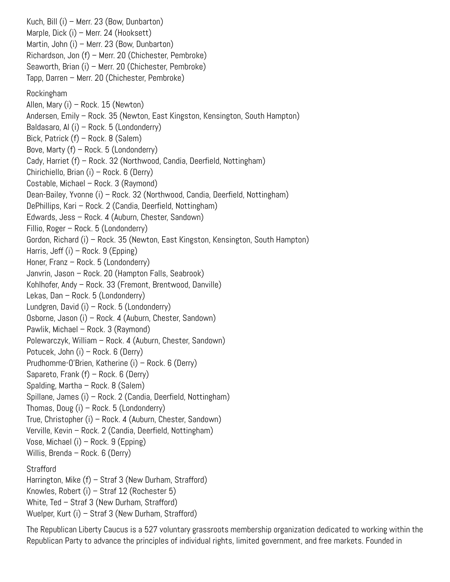Kuch, Bill (i) – Merr. 23 (Bow, Dunbarton) Marple, Dick (i) – Merr. 24 (Hooksett) Martin, John (i) – Merr. 23 (Bow, Dunbarton) Richardson, Jon (f) – Merr. 20 (Chichester, Pembroke) Seaworth, Brian (i) – Merr. 20 (Chichester, Pembroke) Tapp, Darren – Merr. 20 (Chichester, Pembroke) Rockingham Allen, Mary (i) – Rock. 15 (Newton) Andersen, Emily – Rock. 35 (Newton, East Kingston, Kensington, South Hampton) Baldasaro, Al (i) – Rock. 5 (Londonderry) Bick, Patrick (f) – Rock. 8 (Salem) Bove, Marty  $(f)$  – Rock. 5 (Londonderry) Cady, Harriet (f) – Rock. 32 (Northwood, Candia, Deerfield, Nottingham) Chirichiello, Brian (i) – Rock. 6 (Derry) Costable, Michael – Rock. 3 (Raymond) Dean-Bailey, Yvonne (i) – Rock. 32 (Northwood, Candia, Deerfield, Nottingham) DePhillips, Kari – Rock. 2 (Candia, Deerfield, Nottingham) Edwards, Jess – Rock. 4 (Auburn, Chester, Sandown) Fillio, Roger – Rock. 5 (Londonderry) Gordon, Richard (i) – Rock. 35 (Newton, East Kingston, Kensington, South Hampton) Harris, Jeff (i) – Rock. 9 (Epping) Honer, Franz – Rock. 5 (Londonderry) Janvrin, Jason – Rock. 20 (Hampton Falls, Seabrook) Kohlhofer, Andy – Rock. 33 (Fremont, Brentwood, Danville) Lekas, Dan – Rock. 5 (Londonderry) Lundgren, David (i) – Rock. 5 (Londonderry) Osborne, Jason (i) – Rock. 4 (Auburn, Chester, Sandown) Pawlik, Michael – Rock. 3 (Raymond) Polewarczyk, William – Rock. 4 (Auburn, Chester, Sandown) Potucek, John (i) – Rock. 6 (Derry) Prudhomme-O'Brien, Katherine (i) – Rock. 6 (Derry) Sapareto, Frank (f) – Rock. 6 (Derry) Spalding, Martha – Rock. 8 (Salem) Spillane, James (i) – Rock. 2 (Candia, Deerfield, Nottingham) Thomas, Doug (i) – Rock. 5 (Londonderry) True, Christopher (i) – Rock. 4 (Auburn, Chester, Sandown) Verville, Kevin – Rock. 2 (Candia, Deerfield, Nottingham) Vose, Michael (i) – Rock. 9 (Epping) Willis, Brenda – Rock. 6 (Derry) **Strafford** Harrington, Mike (f) – Straf 3 (New Durham, Strafford) Knowles, Robert (i) – Straf 12 (Rochester 5) White, Ted – Straf 3 (New Durham, Strafford) Wuelper, Kurt (i) – Straf 3 (New Durham, Strafford)

The Republican Liberty Caucus is a 527 voluntary grassroots membership organization dedicated to working within the Republican Party to advance the principles of individual rights, limited government, and free markets. Founded in